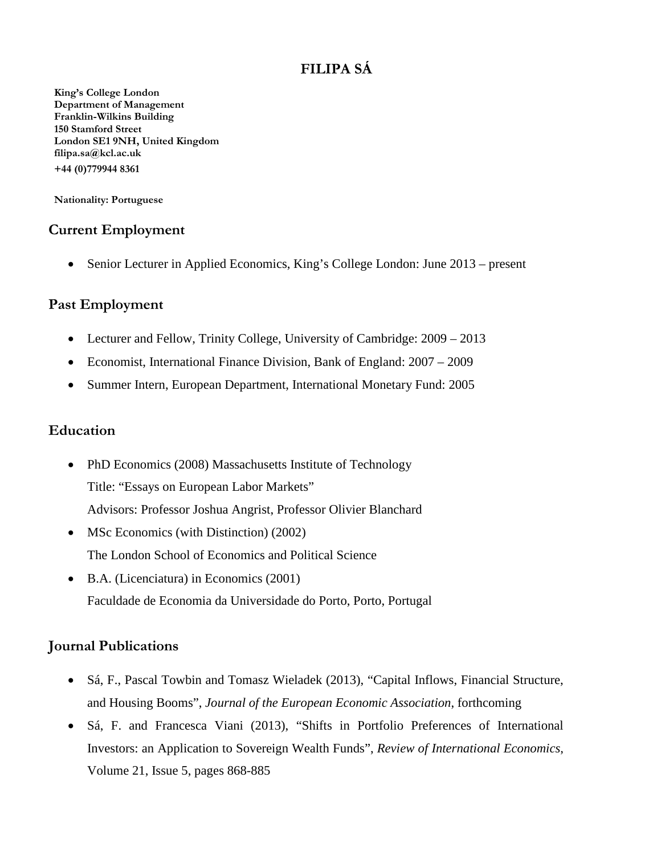# **FILIPA SÁ**

**King's College London Department of Management Franklin-Wilkins Building 150 Stamford Street London SE1 9NH, United Kingdom filipa.sa@kcl.ac.uk +44 (0)779944 8361**

**Nationality: Portuguese**

# **Current Employment**

• Senior Lecturer in Applied Economics, King's College London: June 2013 – present

#### **Past Employment**

- Lecturer and Fellow, Trinity College, University of Cambridge:  $2009 2013$
- Economist, International Finance Division, Bank of England: 2007 2009
- Summer Intern, European Department, International Monetary Fund: 2005

#### **Education**

- PhD Economics (2008) Massachusetts Institute of Technology Title: "Essays on European Labor Markets" Advisors: Professor Joshua Angrist, Professor Olivier Blanchard
- MSc Economics (with Distinction) (2002) The London School of Economics and Political Science
- B.A. (Licenciatura) in Economics (2001) Faculdade de Economia da Universidade do Porto, Porto, Portugal

# **Journal Publications**

- Sá, F., Pascal Towbin and Tomasz Wieladek (2013), "Capital Inflows, Financial Structure, and Housing Booms", *Journal of the European Economic Association*, forthcoming
- Sá, F. and Francesca Viani (2013), "Shifts in Portfolio Preferences of International Investors: an Application to Sovereign Wealth Funds", *Review of International Economics*, Volume 21, Issue 5, pages 868-885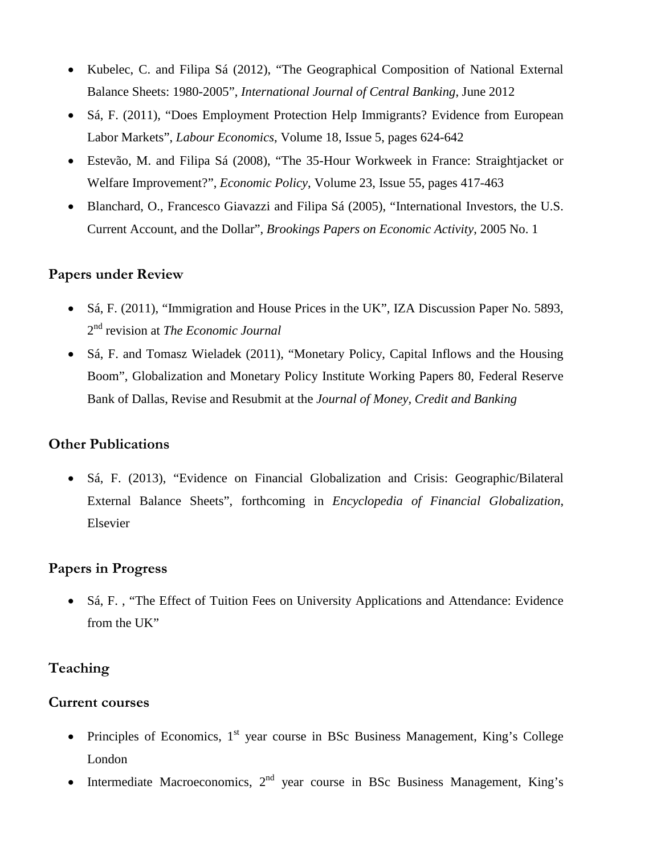- Kubelec, C. and Filipa Sá (2012), "The Geographical Composition of National External Balance Sheets: 1980-2005", *International Journal of Central Banking*, June 2012
- Sá, F. (2011), "Does Employment Protection Help Immigrants? Evidence from European Labor Markets", *Labour Economics*, Volume 18, Issue 5, pages 624-642
- Estevão, M. and Filipa Sá (2008), "The 35-Hour Workweek in France: Straightjacket or Welfare Improvement?", *Economic Policy*, Volume 23, Issue 55, pages 417-463
- Blanchard, O., Francesco Giavazzi and Filipa Sá (2005), "International Investors, the U.S. Current Account, and the Dollar", *Brookings Papers on Economic Activity*, 2005 No. 1

#### **Papers under Review**

- Sá, F. (2011), "Immigration and House Prices in the UK", IZA Discussion Paper No. 5893, 2nd revision at *The Economic Journal*
- Sá, F. and Tomasz Wieladek (2011), "Monetary Policy, Capital Inflows and the Housing Boom", Globalization and Monetary Policy Institute Working Papers 80, Federal Reserve Bank of Dallas, Revise and Resubmit at the *Journal of Money, Credit and Banking*

#### **Other Publications**

• Sá, F. (2013), "Evidence on Financial Globalization and Crisis: Geographic/Bilateral External Balance Sheets", forthcoming in *Encyclopedia of Financial Globalization*, Elsevier

#### **Papers in Progress**

• Sá, F., "The Effect of Tuition Fees on University Applications and Attendance: Evidence from the UK"

# **Teaching**

#### **Current courses**

- Principles of Economics,  $1<sup>st</sup>$  year course in BSc Business Management, King's College London
- Intermediate Macroeconomics,  $2<sup>nd</sup>$  year course in BSc Business Management, King's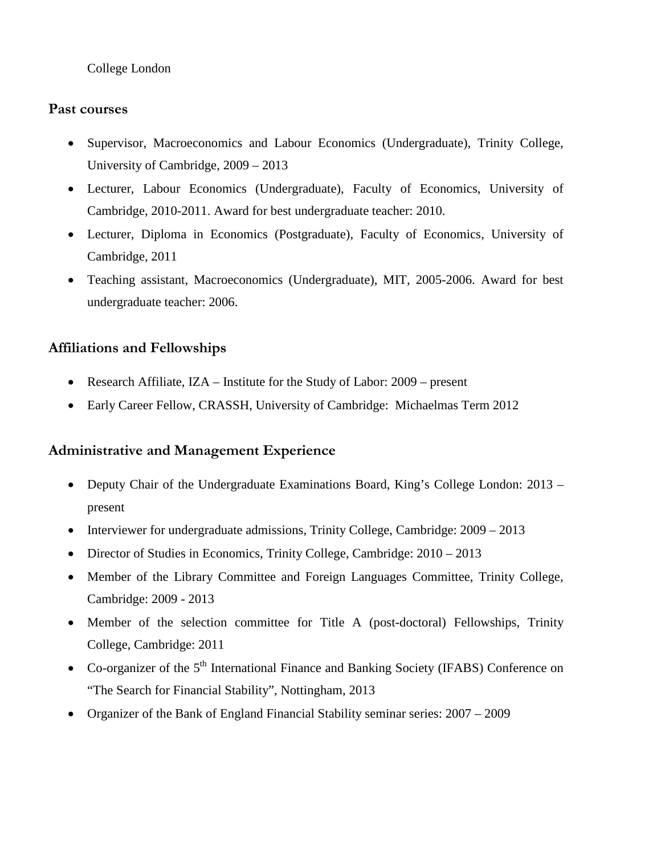College London

# **Past courses**

- Supervisor, Macroeconomics and Labour Economics (Undergraduate), Trinity College, University of Cambridge, 2009 – 2013
- Lecturer, Labour Economics (Undergraduate), Faculty of Economics, University of Cambridge, 2010-2011. Award for best undergraduate teacher: 2010.
- Lecturer, Diploma in Economics (Postgraduate), Faculty of Economics, University of Cambridge, 2011
- Teaching assistant, Macroeconomics (Undergraduate), MIT, 2005-2006. Award for best undergraduate teacher: 2006.

# **Affiliations and Fellowships**

- Research Affiliate, IZA Institute for the Study of Labor: 2009 present
- Early Career Fellow, CRASSH, University of Cambridge: Michaelmas Term 2012

# **Administrative and Management Experience**

- Deputy Chair of the Undergraduate Examinations Board, King's College London: 2013 present
- Interviewer for undergraduate admissions, Trinity College, Cambridge: 2009 2013
- Director of Studies in Economics, Trinity College, Cambridge:  $2010 2013$
- Member of the Library Committee and Foreign Languages Committee, Trinity College, Cambridge: 2009 - 2013
- Member of the selection committee for Title A (post-doctoral) Fellowships, Trinity College, Cambridge: 2011
- Co-organizer of the 5<sup>th</sup> International Finance and Banking Society (IFABS) Conference on "The Search for Financial Stability", Nottingham, 2013
- Organizer of the Bank of England Financial Stability seminar series: 2007 2009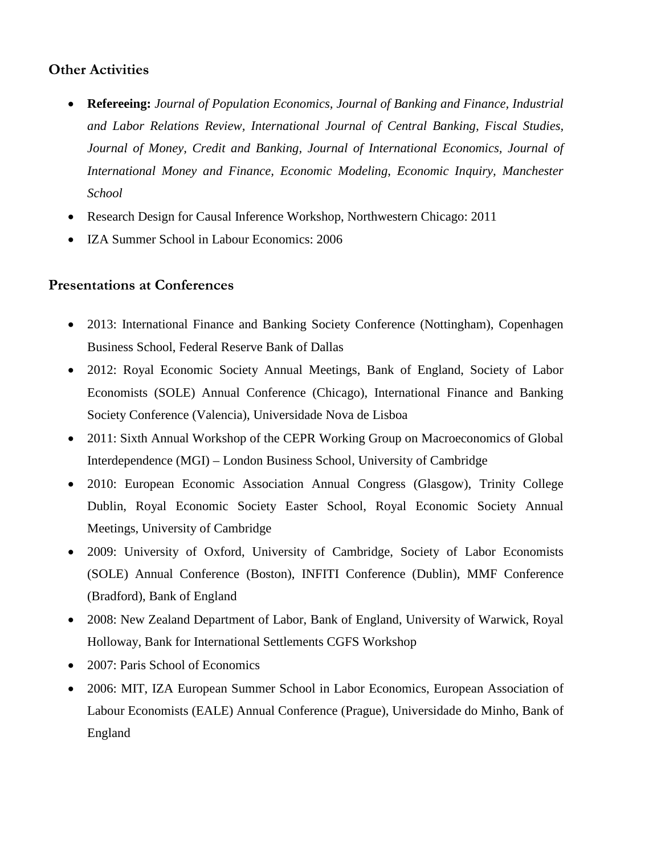# **Other Activities**

- **Refereeing:** *Journal of Population Economics, Journal of Banking and Finance, Industrial and Labor Relations Review, International Journal of Central Banking, Fiscal Studies, Journal of Money, Credit and Banking, Journal of International Economics, Journal of International Money and Finance, Economic Modeling*, *Economic Inquiry, Manchester School*
- Research Design for Causal Inference Workshop, Northwestern Chicago: 2011
- IZA Summer School in Labour Economics: 2006

#### **Presentations at Conferences**

- 2013: International Finance and Banking Society Conference (Nottingham), Copenhagen Business School, Federal Reserve Bank of Dallas
- 2012: Royal Economic Society Annual Meetings, Bank of England, Society of Labor Economists (SOLE) Annual Conference (Chicago), International Finance and Banking Society Conference (Valencia), Universidade Nova de Lisboa
- 2011: Sixth Annual Workshop of the CEPR Working Group on Macroeconomics of Global Interdependence (MGI) – London Business School, University of Cambridge
- 2010: European Economic Association Annual Congress (Glasgow), Trinity College Dublin, Royal Economic Society Easter School, Royal Economic Society Annual Meetings, University of Cambridge
- 2009: University of Oxford, University of Cambridge, Society of Labor Economists (SOLE) Annual Conference (Boston), INFITI Conference (Dublin), MMF Conference (Bradford), Bank of England
- 2008: New Zealand Department of Labor, Bank of England, University of Warwick, Royal Holloway, Bank for International Settlements CGFS Workshop
- 2007: Paris School of Economics
- 2006: MIT, IZA European Summer School in Labor Economics, European Association of Labour Economists (EALE) Annual Conference (Prague), Universidade do Minho, Bank of England